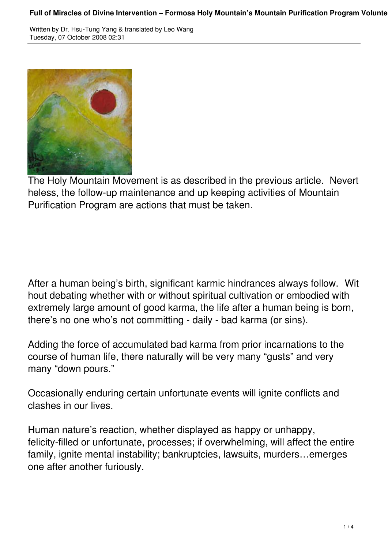## Full of Miracles of Divine Intervention – Formosa Holy Mountain's Mountain Purification Program Volunte

Written by Dr. Hsu-Tung Yang & translated by Leo Wang Tuesday, 07 October 2008 02:31



The Holy Mountain Movement is as described in the previous article. Nevert heless, the follow-up maintenance and up keeping activities of Mountain Purification Program are actions that must be taken.

After a human being's birth, significant karmic hindrances always follow. Wit hout debating whether with or without spiritual cultivation or embodied with extremely large amount of good karma, the life after a human being is born, there's no one who's not committing - daily - bad karma (or sins).

Adding the force of accumulated bad karma from prior incarnations to the course of human life, there naturally will be very many "gusts" and very many "down pours."

Occasionally enduring certain unfortunate events will ignite conflicts and clashes in our lives.

Human nature's reaction, whether displayed as happy or unhappy, felicity-filled or unfortunate, processes; if overwhelming, will affect the entire family, ignite mental instability; bankruptcies, lawsuits, murders…emerges one after another furiously.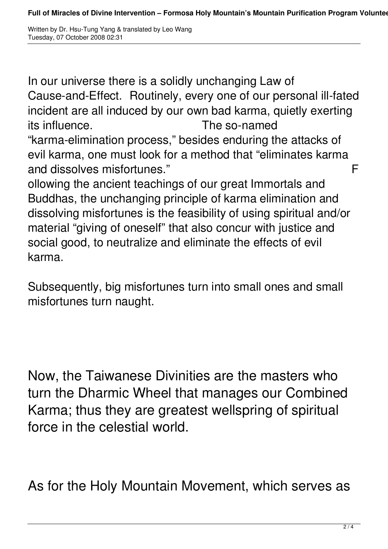Written by Dr. Hsu-Tung Yang & translated by Leo Wang Tuesday, 07 October 2008 02:31

In our universe there is a solidly unchanging Law of Cause-and-Effect. Routinely, every one of our personal ill-fated incident are all induced by our own bad karma, quietly exerting its influence. The so-named "karma-elimination process," besides enduring the attacks of evil karma, one must look for a method that "eliminates karma and dissolves misfortunes." 
F

ollowing the ancient teachings of our great Immortals and Buddhas, the unchanging principle of karma elimination and dissolving misfortunes is the feasibility of using spiritual and/or material "giving of oneself" that also concur with justice and social good, to neutralize and eliminate the effects of evil karma.

Subsequently, big misfortunes turn into small ones and small misfortunes turn naught.

Now, the Taiwanese Divinities are the masters who turn the Dharmic Wheel that manages our Combined Karma; thus they are greatest wellspring of spiritual force in the celestial world.

As for the Holy Mountain Movement, which serves as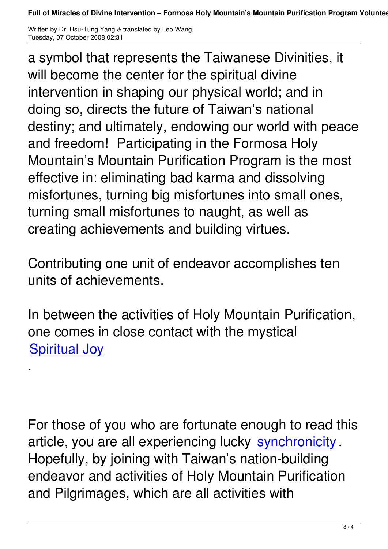Written by Dr. Hsu-Tung Yang & translated by Leo Wang Tuesday, 07 October 2008 02:31

a symbol that represents the Taiwanese Divinities, it will become the center for the spiritual divine intervention in shaping our physical world; and in doing so, directs the future of Taiwan's national destiny; and ultimately, endowing our world with peace and freedom! Participating in the Formosa Holy Mountain's Mountain Purification Program is the most effective in: eliminating bad karma and dissolving misfortunes, turning big misfortunes into small ones, turning small misfortunes to naught, as well as creating achievements and building virtues.

Contributing one unit of endeavor accomplishes ten units of achievements.

In between the activities of Holy Mountain Purification, one comes in close contact with the mystical **Spiritual Joy** 

.

For those of you who are fortunate enough to read this article, you are all experiencing lucky synchronicity . Hopefully, by joining with Taiwan's nation-building endeavor and activities of Holy Mount[ain Purificatio](http://en.wikipedia.org/wiki/Synchronicity)n and Pilgrimages, which are all activities with